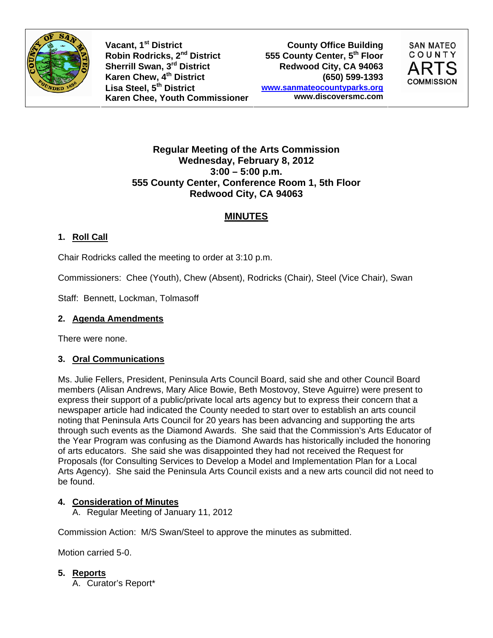

**Vacant, 1st District** Robin Rodricks, 2<sup>nd</sup> District **555 County Center, 5<sup>th</sup> Floor**<br>Sherrill Swan, 3<sup>rd</sup> District **1998 Redwood City, CA** 94063 **Sherrill Swan, 3rd District Karen Chew, 4th District (650) 599-1393 Lisa Steel, 5th District Karen Chee, Youth Commissioner**

**County Office Building www.sanmateocountyparks.org www.discoversmc.com** 



### **Regular Meeting of the Arts Commission Wednesday, February 8, 2012 3:00 – 5:00 p.m. 555 County Center, Conference Room 1, 5th Floor Redwood City, CA 94063**

# **MINUTES**

## **1. Roll Call**

Chair Rodricks called the meeting to order at 3:10 p.m.

Commissioners: Chee (Youth), Chew (Absent), Rodricks (Chair), Steel (Vice Chair), Swan

Staff: Bennett, Lockman, Tolmasoff

### **2. Agenda Amendments**

There were none.

### **3. Oral Communications**

Ms. Julie Fellers, President, Peninsula Arts Council Board, said she and other Council Board members (Alisan Andrews, Mary Alice Bowie, Beth Mostovoy, Steve Aguirre) were present to express their support of a public/private local arts agency but to express their concern that a newspaper article had indicated the County needed to start over to establish an arts council noting that Peninsula Arts Council for 20 years has been advancing and supporting the arts through such events as the Diamond Awards. She said that the Commission's Arts Educator of the Year Program was confusing as the Diamond Awards has historically included the honoring of arts educators. She said she was disappointed they had not received the Request for Proposals (for Consulting Services to Develop a Model and Implementation Plan for a Local Arts Agency). She said the Peninsula Arts Council exists and a new arts council did not need to be found.

## **4. Consideration of Minutes**

A. Regular Meeting of January 11, 2012

Commission Action: M/S Swan/Steel to approve the minutes as submitted.

Motion carried 5-0.

### **5. Reports**

A. Curator's Report\*